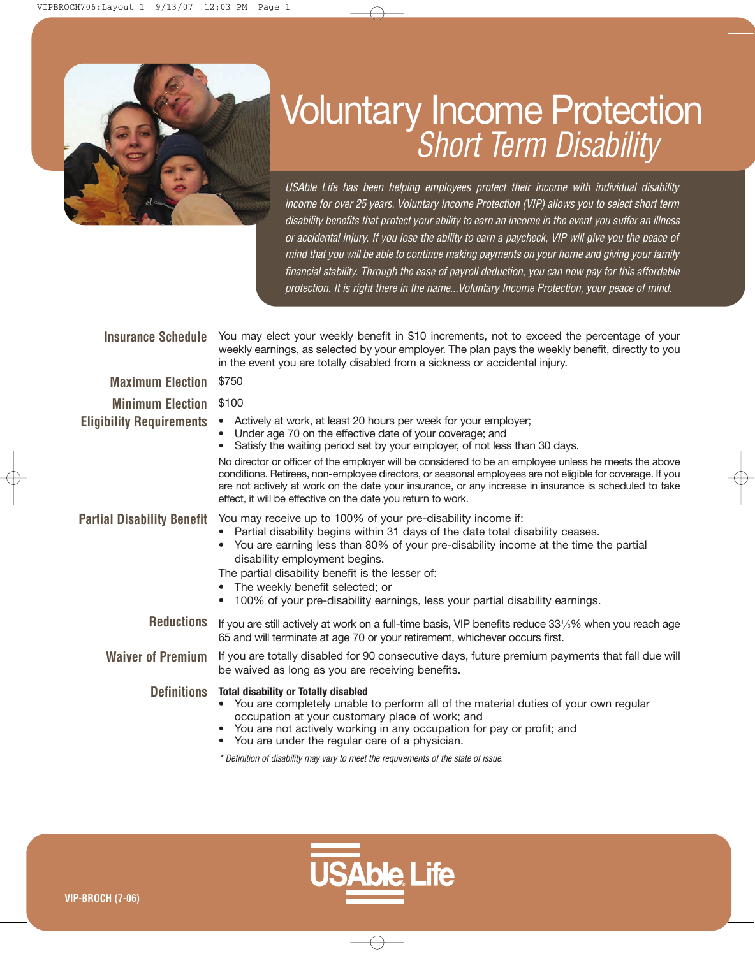

## Voluntary Income Protection *Short Term Disability*

*USAble Life has been helping employees protect their income with individual disability income for over 25 years. Voluntary Income Protection (VIP) allows you to select short term disability benefits that protect your ability to earn an income in the event you suffer an illness or accidental injury. If you lose the ability to earn a paycheck, VIP will give you the peace of mind that you will be able to continue making payments on your home and giving your family financial stability. Through the ease of payroll deduction, you can now pay for this affordable protection. It is right there in the name...Voluntary Income Protection, your peace of mind.*

| <b>Insurance Schedule</b>         | You may elect your weekly benefit in \$10 increments, not to exceed the percentage of your                                                                                                                                                                                                                                                                                                                                                                             |
|-----------------------------------|------------------------------------------------------------------------------------------------------------------------------------------------------------------------------------------------------------------------------------------------------------------------------------------------------------------------------------------------------------------------------------------------------------------------------------------------------------------------|
|                                   | weekly earnings, as selected by your employer. The plan pays the weekly benefit, directly to you<br>in the event you are totally disabled from a sickness or accidental injury.                                                                                                                                                                                                                                                                                        |
| <b>Maximum Election</b>           | \$750                                                                                                                                                                                                                                                                                                                                                                                                                                                                  |
| <b>Minimum Election</b>           | \$100                                                                                                                                                                                                                                                                                                                                                                                                                                                                  |
| <b>Eligibility Requirements</b>   | Actively at work, at least 20 hours per week for your employer;<br>$\bullet$<br>Under age 70 on the effective date of your coverage; and<br>Satisfy the waiting period set by your employer, of not less than 30 days.<br>$\bullet$                                                                                                                                                                                                                                    |
|                                   | No director or officer of the employer will be considered to be an employee unless he meets the above<br>conditions. Retirees, non-employee directors, or seasonal employees are not eligible for coverage. If you<br>are not actively at work on the date your insurance, or any increase in insurance is scheduled to take<br>effect, it will be effective on the date you return to work.                                                                           |
| <b>Partial Disability Benefit</b> | You may receive up to 100% of your pre-disability income if:<br>Partial disability begins within 31 days of the date total disability ceases.<br>You are earning less than 80% of your pre-disability income at the time the partial<br>$\bullet$<br>disability employment begins.<br>The partial disability benefit is the lesser of:<br>The weekly benefit selected; or<br>$\bullet$<br>100% of your pre-disability earnings, less your partial disability earnings. |
| <b>Reductions</b>                 | If you are still actively at work on a full-time basis, VIP benefits reduce 33 <sup>1</sup> / <sub>3</sub> % when you reach age<br>65 and will terminate at age 70 or your retirement, whichever occurs first.                                                                                                                                                                                                                                                         |
| <b>Waiver of Premium</b>          | If you are totally disabled for 90 consecutive days, future premium payments that fall due will<br>be waived as long as you are receiving benefits.                                                                                                                                                                                                                                                                                                                    |
| <b>Definitions</b>                | <b>Total disability or Totally disabled</b><br>• You are completely unable to perform all of the material duties of your own regular<br>occupation at your customary place of work; and<br>• You are not actively working in any occupation for pay or profit; and<br>• You are under the regular care of a physician.                                                                                                                                                 |

*\* Definition of disability may vary to meet the requirements of the state of issue.*